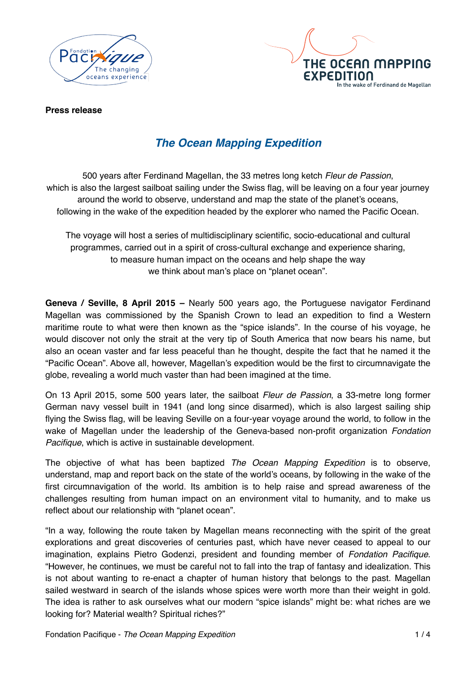



**Press release**

# *The Ocean Mapping Expedition*

500 years after Ferdinand Magellan, the 33 metres long ketch *Fleur de Passion*, which is also the largest sailboat sailing under the Swiss flag, will be leaving on a four year journey around the world to observe, understand and map the state of the planet's oceans, following in the wake of the expedition headed by the explorer who named the Pacific Ocean.

The voyage will host a series of multidisciplinary scientific, socio-educational and cultural programmes, carried out in a spirit of cross-cultural exchange and experience sharing, to measure human impact on the oceans and help shape the way we think about man's place on "planet ocean".

**Geneva / Seville, 8 April 2015 –** Nearly 500 years ago, the Portuguese navigator Ferdinand Magellan was commissioned by the Spanish Crown to lead an expedition to find a Western maritime route to what were then known as the "spice islands". In the course of his voyage, he would discover not only the strait at the very tip of South America that now bears his name, but also an ocean vaster and far less peaceful than he thought, despite the fact that he named it the "Pacific Ocean". Above all, however, Magellan's expedition would be the first to circumnavigate the globe, revealing a world much vaster than had been imagined at the time.

On 13 April 2015, some 500 years later, the sailboat *Fleur de Passion*, a 33-metre long former German navy vessel built in 1941 (and long since disarmed), which is also largest sailing ship flying the Swiss flag, will be leaving Seville on a four-year voyage around the world, to follow in the wake of Magellan under the leadership of the Geneva-based non-profit organization *Fondation Pacifique*, which is active in sustainable development.

The objective of what has been baptized *The Ocean Mapping Expedition* is to observe, understand, map and report back on the state of the world's oceans, by following in the wake of the first circumnavigation of the world. Its ambition is to help raise and spread awareness of the challenges resulting from human impact on an environment vital to humanity, and to make us reflect about our relationship with "planet ocean".

"In a way, following the route taken by Magellan means reconnecting with the spirit of the great explorations and great discoveries of centuries past, which have never ceased to appeal to our imagination, explains Pietro Godenzi, president and founding member of *Fondation Pacifique*. "However, he continues, we must be careful not to fall into the trap of fantasy and idealization. This is not about wanting to re-enact a chapter of human history that belongs to the past. Magellan sailed westward in search of the islands whose spices were worth more than their weight in gold. The idea is rather to ask ourselves what our modern "spice islands" might be: what riches are we looking for? Material wealth? Spiritual riches?"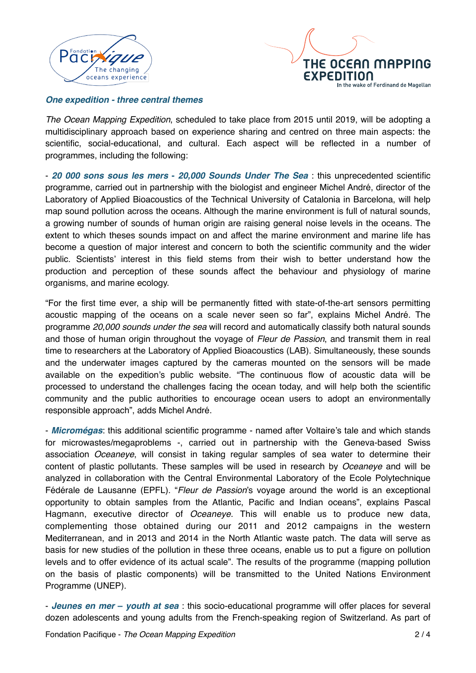



## *One expedition - three central themes*

*The Ocean Mapping Expedition*, scheduled to take place from 2015 until 2019, will be adopting a multidisciplinary approach based on experience sharing and centred on three main aspects: the scientific, social-educational, and cultural. Each aspect will be reflected in a number of programmes, including the following:

- *20 000 sons sous les mers* **-** *20,000 Sounds Under The Sea* : this unprecedented scientific programme, carried out in partnership with the biologist and engineer Michel André, director of the Laboratory of Applied Bioacoustics of the Technical University of Catalonia in Barcelona, will help map sound pollution across the oceans. Although the marine environment is full of natural sounds, a growing number of sounds of human origin are raising general noise levels in the oceans. The extent to which theses sounds impact on and affect the marine environment and marine life has become a question of major interest and concern to both the scientific community and the wider public. Scientists' interest in this field stems from their wish to better understand how the production and perception of these sounds affect the behaviour and physiology of marine organisms, and marine ecology.

"For the first time ever, a ship will be permanently fitted with state-of-the-art sensors permitting acoustic mapping of the oceans on a scale never seen so far", explains Michel André. The programme *20,000 sounds under the sea* will record and automatically classify both natural sounds and those of human origin throughout the voyage of *Fleur de Passion*, and transmit them in real time to researchers at the Laboratory of Applied Bioacoustics (LAB). Simultaneously, these sounds and the underwater images captured by the cameras mounted on the sensors will be made available on the expedition's public website. "The continuous flow of acoustic data will be processed to understand the challenges facing the ocean today, and will help both the scientific community and the public authorities to encourage ocean users to adopt an environmentally responsible approach", adds Michel André.

- *Micromégas*: this additional scientific programme - named after Voltaire's tale and which stands for microwastes/megaproblems -, carried out in partnership with the Geneva-based Swiss association *Oceaneye*, will consist in taking regular samples of sea water to determine their content of plastic pollutants. These samples will be used in research by *Oceaneye* and will be analyzed in collaboration with the Central Environmental Laboratory of the Ecole Polytechnique Fédérale de Lausanne (EPFL). "*Fleur de Passion*'s voyage around the world is an exceptional opportunity to obtain samples from the Atlantic, Pacific and Indian oceans", explains Pascal Hagmann, executive director of *Oceaneye*. This will enable us to produce new data, complementing those obtained during our 2011 and 2012 campaigns in the western Mediterranean, and in 2013 and 2014 in the North Atlantic waste patch. The data will serve as basis for new studies of the pollution in these three oceans, enable us to put a figure on pollution levels and to offer evidence of its actual scale". The results of the programme (mapping pollution on the basis of plastic components) will be transmitted to the United Nations Environment Programme (UNEP).

- *Jeunes en mer* **–** *youth at sea* : this socio-educational programme will offer places for several dozen adolescents and young adults from the French-speaking region of Switzerland. As part of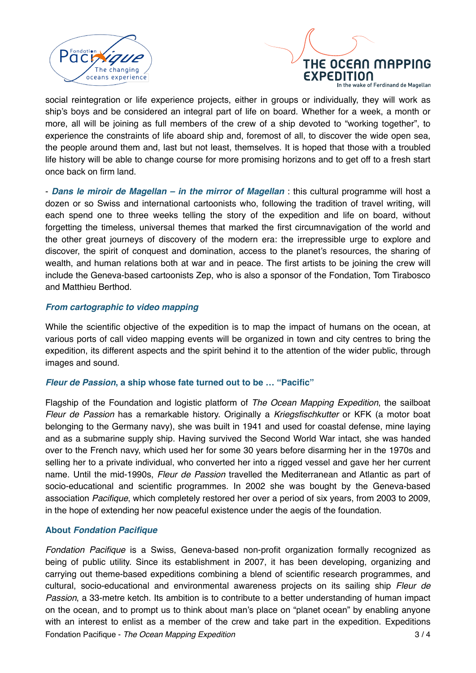



vake of Ferdinand de Magellan

social reintegration or life experience projects, either in groups or individually, they will work as ship's boys and be considered an integral part of life on board. Whether for a week, a month or more, all will be joining as full members of the crew of a ship devoted to "working together", to experience the constraints of life aboard ship and, foremost of all, to discover the wide open sea, the people around them and, last but not least, themselves. It is hoped that those with a troubled life history will be able to change course for more promising horizons and to get off to a fresh start once back on firm land.

- *Dans le miroir de Magellan – in the mirror of Magellan* : this cultural programme will host a dozen or so Swiss and international cartoonists who, following the tradition of travel writing, will each spend one to three weeks telling the story of the expedition and life on board, without forgetting the timeless, universal themes that marked the first circumnavigation of the world and the other great journeys of discovery of the modern era: the irrepressible urge to explore and discover, the spirit of conquest and domination, access to the planet's resources, the sharing of wealth, and human relations both at war and in peace. The first artists to be joining the crew will include the Geneva-based cartoonists Zep, who is also a sponsor of the Fondation, Tom Tirabosco and Matthieu Berthod.

### *From cartographic to video mapping*

While the scientific objective of the expedition is to map the impact of humans on the ocean, at various ports of call video mapping events will be organized in town and city centres to bring the expedition, its different aspects and the spirit behind it to the attention of the wider public, through images and sound.

#### *Fleur de Passion***, a ship whose fate turned out to be … "Pacific"**

Flagship of the Foundation and logistic platform of *The Ocean Mapping Expedition*, the sailboat *Fleur de Passion* has a remarkable history. Originally a *Kriegsfischkutter* or KFK (a motor boat belonging to the Germany navy), she was built in 1941 and used for coastal defense, mine laying and as a submarine supply ship. Having survived the Second World War intact, she was handed over to the French navy, which used her for some 30 years before disarming her in the 1970s and selling her to a private individual, who converted her into a rigged vessel and gave her her current name. Until the mid-1990s, *Fleur de Passion* travelled the Mediterranean and Atlantic as part of socio-educational and scientific programmes. In 2002 she was bought by the Geneva-based association *Pacifique*, which completely restored her over a period of six years, from 2003 to 2009, in the hope of extending her now peaceful existence under the aegis of the foundation.

## **About** *Fondation Pacifique*

*Fondation Pacifique* is a Swiss, Geneva-based non-profit organization formally recognized as being of public utility. Since its establishment in 2007, it has been developing, organizing and carrying out theme-based expeditions combining a blend of scientific research programmes, and cultural, socio-educational and environmental awareness projects on its sailing ship *Fleur de Passion*, a 33-metre ketch. Its ambition is to contribute to a better understanding of human impact on the ocean, and to prompt us to think about man's place on "planet ocean" by enabling anyone with an interest to enlist as a member of the crew and take part in the expedition. Expeditions Fondation Pacifique - *The Ocean Mapping Expedition* 3/4